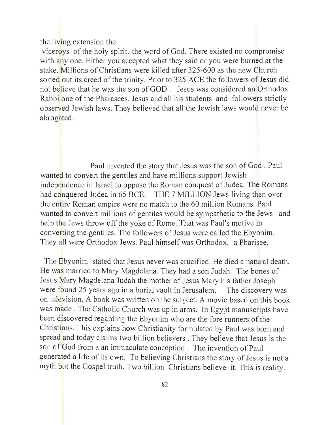## the living extension the

viceroys of the holy spirit.-the word of God. There existed no compromise with any one. Either you accepted what they said or you were burned at the stake. Millions of Christians were killed after 325-600 as the new Church sorted out its creed of the trinity. Prior to 325 ACE the followers of Jesus did not believe that he was the son of GOD. Jesus was considered an Orthodox Rabbi one of the Pharasees. Jesus and all his students and followers strictly observed Jewish laws. They believed that all the Jewish laws would never be abrogated.

Paul invented the story that Jesus was the son of God . Paul wanted to convert the gentiles and have millions support Jewish independence in Israel to oppose the Roman conquest of Judea. The Romans had conquered Judea in 65 BCE. THE 7 MILLION Jews living then over the entire Roman empire were no match to the 60 million Romans. Paul wanted to convert millions of gentiles would be sympathetic to the Jews and help the Jews throw off the yoke of Rome. That was Paul's motive in converting the gentiles. The followers of Jesus were called the Ebyonim. They all were Orthodox Jews. Paul himself was Orthodox. -a Pharisee.

The Ebyonim stated that Jesus never was crucified. He died a natural death. He was married to Mary Magdelana. They had a son Judah. The bones of Jesus Mary Magdelana Judah the mother of Jesus Mary his father Joseph were found 25 years ago in a burial vault in Jerusalem. The discovery was on television. A book was written on the subject. A movie based on this book was made. The Catholic Church was up in arms. In Egypt manuscripts have been discovered regarding the Ebyonim who are the fore runners of the Christians. This explains how Christianity formulated by Paul was born and spread and today claims two billion believers. They believe that Jesus is the son of God from a an immaculate conception. The invention of Paul generated a life of its own. To believing Christians the story of Jesus is not a myth but the Gospel truth. Two billion Christians believe it. This is reality.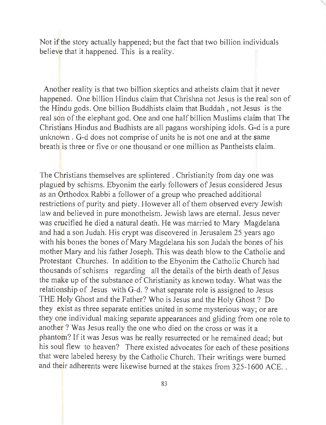Not if the story actually happened; but the fact that two billion individuals believe that it happened. This is a reality.

Another reality is that two billion skeptics and atheists claim that it never happened. One billion Hindus claim that Chrishna not Jesus is the real son of the Hindu gods. One billion Buddhists claim that Buddah , not Jesus is the real son of the elephant god. One and one half billion Muslims claim that The Christians Hindus and Budhists are all pagans worshiping idols. G-d is a pure unknown. G-d does not comprise of units he is not one and at the same breath is three or five or one thousand or one million as Pantheists claim.

The Christians themselves are splintered. Christianity from day one was plagued by schisms. Ebyonim the early followers of Jesus considered Jesus as an Orthodox Rabbi a follower of a group who preached additional restrictions of purity and piety. However all of them observed every Jewish law and believed in pure monotheism. Jewish laws are eternal. Jesus never was crucified he died a natural death. He was married to Mary Magdelana and had a son Judah. His crypt was discovered in Jerusalem 25 years ago with his bones the bones of Mary Magdelana his son Judah the bones of his mother Mary and his father Joseph. This was death blow to the Catholic and Protestant Churches. In addition to the Ebyonim the Catholic Church had thousands of schisms regarding all the details of the birth death of Jesus the make up of the substance of Christianity as known today. What was the relationship of Jesus with G-d. ? what separate role is assigned to Jesus THE Holy Ghost and the Father? Who is Jesus and the Holy Ghost? Do they exist as three separate entities united in some mysterious way; or are they one individual making separate appearances and gliding from one role to another? Was Jesus really the one who died on the cross or was it a phantom? If it was Jesus was he really resurrected or he remained dead; but his soul flew to heaven? There existed advocates for each of these positions that were labeled heresy by the Catholic Church. Their writings were burned and their adherents were likewise burned at the stakes from 325-1600 ACE..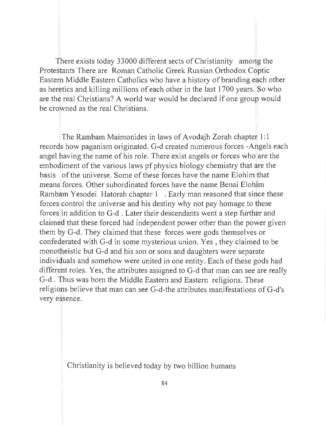There exists today 33000 different sects of Christianity among the Protestants There are Roman Catholic Greek Russian Orthodox Coptic Eastern Middle Eastern Catholics who have a history of branding each other as heretics and killing millions of each other in the last 1700 years. So who are the real Christians? A world war would be declared if one group would be crowned as the real Christians.

The Rambam Maimonides in laws of Avodajh Zorah chapter 1: 1 records how paganism originated. G-d created numerous forces -Angels each angel having the name of his role. There exist angels or forces who are the embodiment of the various laws pf physics biology chemistry that are the basis of the universe. Some of these forces have the name Elohim that means forces. Other subordinated forces have the name Senai Elohim Rambam Yesodei Hatorah chapter 1 . Early man reasoned that since these forces control the universe and his destiny why not pay homage to these forces in addition to G-d . Later their descendants went a step further and claimed that these forced had independent power other than the power given them by G-d. They claimed that these forces were gods themselves or confederated with G-d in some mysterious union. Yes, they claimed to be monotheistic but G-d and his son or sons and daughters were separate individuals and somehow were united in one entity. Each of these gods had different roles. Yes, the attributes assigned to G-d that man can see are really G-d . Thus was born the Middle Eastern and Eastern religions. These religions believe that man can see G-d-the attributes manifestations of G-d's very essence.

Christianity is believed today by two billion humans